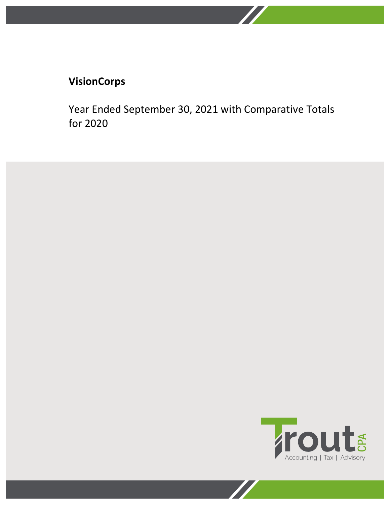Year Ended September 30, 2021 with Comparative Totals for 2020

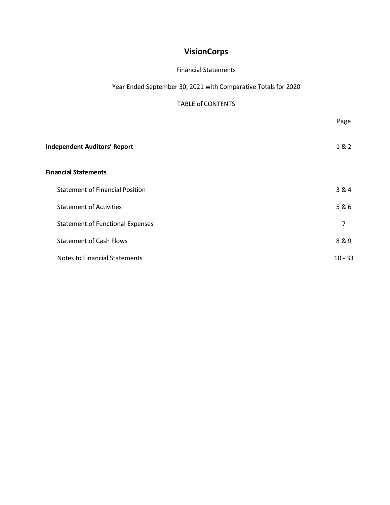#### Financial Statements

Year Ended September 30, 2021 with Comparative Totals for 2020

#### TABLE of CONTENTS

|                                         | Page      |
|-----------------------------------------|-----------|
| <b>Independent Auditors' Report</b>     | 1 & 2     |
| <b>Financial Statements</b>             |           |
| <b>Statement of Financial Position</b>  | 3 & 4     |
| <b>Statement of Activities</b>          | 5&6       |
| <b>Statement of Functional Expenses</b> | 7         |
| <b>Statement of Cash Flows</b>          | 8&9       |
| <b>Notes to Financial Statements</b>    | $10 - 33$ |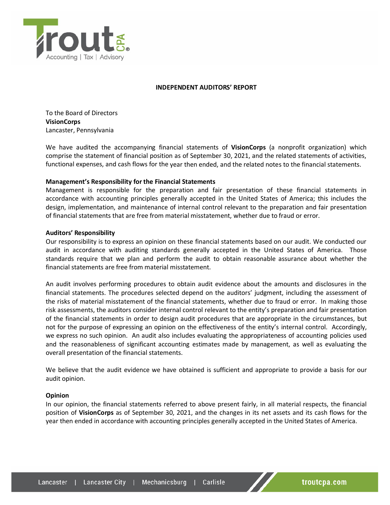

#### **INDEPENDENT AUDITORS' REPORT**

To the Board of Directors **VisionCorps**  Lancaster, Pennsylvania

We have audited the accompanying financial statements of **VisionCorps** (a nonprofit organization) which comprise the statement of financial position as of September 30, 2021, and the related statements of activities, functional expenses, and cash flows for the year then ended, and the related notes to the financial statements.

#### **Management's Responsibility for the Financial Statements**

Management is responsible for the preparation and fair presentation of these financial statements in accordance with accounting principles generally accepted in the United States of America; this includes the design, implementation, and maintenance of internal control relevant to the preparation and fair presentation of financial statements that are free from material misstatement, whether due to fraud or error.

#### **Auditors' Responsibility**

Our responsibility is to express an opinion on these financial statements based on our audit. We conducted our audit in accordance with auditing standards generally accepted in the United States of America. Those standards require that we plan and perform the audit to obtain reasonable assurance about whether the financial statements are free from material misstatement.

An audit involves performing procedures to obtain audit evidence about the amounts and disclosures in the financial statements. The procedures selected depend on the auditors' judgment, including the assessment of the risks of material misstatement of the financial statements, whether due to fraud or error. In making those risk assessments, the auditors consider internal control relevant to the entity's preparation and fair presentation of the financial statements in order to design audit procedures that are appropriate in the circumstances, but not for the purpose of expressing an opinion on the effectiveness of the entity's internal control. Accordingly, we express no such opinion. An audit also includes evaluating the appropriateness of accounting policies used and the reasonableness of significant accounting estimates made by management, as well as evaluating the overall presentation of the financial statements.

We believe that the audit evidence we have obtained is sufficient and appropriate to provide a basis for our audit opinion.

#### **Opinion**

In our opinion, the financial statements referred to above present fairly, in all material respects, the financial position of **VisionCorps** as of September 30, 2021, and the changes in its net assets and its cash flows for the year then ended in accordance with accounting principles generally accepted in the United States of America.

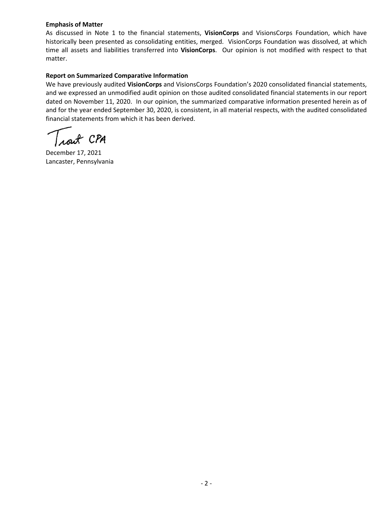#### **Emphasis of Matter**

As discussed in Note 1 to the financial statements, **VisionCorps** and VisionsCorps Foundation, which have historically been presented as consolidating entities, merged. VisionCorps Foundation was dissolved, at which time all assets and liabilities transferred into **VisionCorps**. Our opinion is not modified with respect to that matter.

#### **Report on Summarized Comparative Information**

We have previously audited **VisionCorps** and VisionsCorps Foundation's 2020 consolidated financial statements, and we expressed an unmodified audit opinion on those audited consolidated financial statements in our report dated on November 11, 2020. In our opinion, the summarized comparative information presented herein as of and for the year ended September 30, 2020, is consistent, in all material respects, with the audited consolidated financial statements from which it has been derived.

CPA

December 17, 2021 Lancaster, Pennsylvania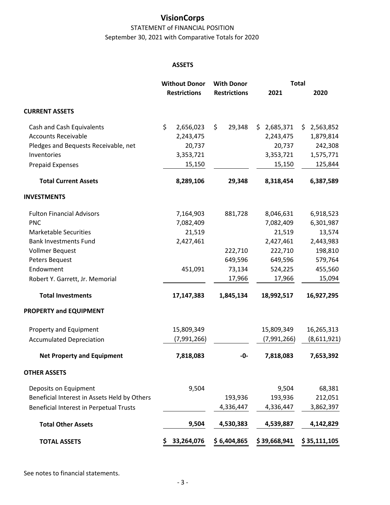STATEMENT of FINANCIAL POSITION September 30, 2021 with Comparative Totals for 2020

#### **ASSETS**

|                                              | <b>Without Donor</b> | <b>With Donor</b>   |                 | <b>Total</b>     |
|----------------------------------------------|----------------------|---------------------|-----------------|------------------|
|                                              | <b>Restrictions</b>  | <b>Restrictions</b> | 2021            | 2020             |
| <b>CURRENT ASSETS</b>                        |                      |                     |                 |                  |
| Cash and Cash Equivalents                    | \$<br>2,656,023      | \$<br>29,348        | 2,685,371<br>\$ | \$.<br>2,563,852 |
| <b>Accounts Receivable</b>                   | 2,243,475            |                     | 2,243,475       | 1,879,814        |
| Pledges and Bequests Receivable, net         | 20,737               |                     | 20,737          | 242,308          |
| Inventories                                  | 3,353,721            |                     | 3,353,721       | 1,575,771        |
| <b>Prepaid Expenses</b>                      | 15,150               |                     | 15,150          | 125,844          |
| <b>Total Current Assets</b>                  | 8,289,106            | 29,348              | 8,318,454       | 6,387,589        |
| <b>INVESTMENTS</b>                           |                      |                     |                 |                  |
| <b>Fulton Financial Advisors</b>             | 7,164,903            | 881,728             | 8,046,631       | 6,918,523        |
| <b>PNC</b>                                   | 7,082,409            |                     | 7,082,409       | 6,301,987        |
| <b>Marketable Securities</b>                 | 21,519               |                     | 21,519          | 13,574           |
| <b>Bank Investments Fund</b>                 | 2,427,461            |                     | 2,427,461       | 2,443,983        |
| Vollmer Bequest                              |                      | 222,710             | 222,710         | 198,810          |
| Peters Bequest                               |                      | 649,596             | 649,596         | 579,764          |
| Endowment                                    | 451,091              | 73,134              | 524,225         | 455,560          |
| Robert Y. Garrett, Jr. Memorial              |                      | 17,966              | 17,966          | 15,094           |
| <b>Total Investments</b>                     | 17,147,383           | 1,845,134           | 18,992,517      | 16,927,295       |
| PROPERTY and EQUIPMENT                       |                      |                     |                 |                  |
| Property and Equipment                       | 15,809,349           |                     | 15,809,349      | 16,265,313       |
| <b>Accumulated Depreciation</b>              | (7,991,266)          |                     | (7,991,266)     | (8,611,921)      |
| <b>Net Property and Equipment</b>            | 7,818,083            | -0-                 | 7,818,083       | 7,653,392        |
| <b>OTHER ASSETS</b>                          |                      |                     |                 |                  |
| Deposits on Equipment                        | 9,504                |                     | 9,504           | 68,381           |
| Beneficial Interest in Assets Held by Others |                      | 193,936             | 193,936         | 212,051          |
| Beneficial Interest in Perpetual Trusts      |                      | 4,336,447           | 4,336,447       | 3,862,397        |
| <b>Total Other Assets</b>                    | 9,504                | 4,530,383           | 4,539,887       | 4,142,829        |
| <b>TOTAL ASSETS</b>                          | 33,264,076<br>\$     | \$6,404,865         | \$39,668,941    | \$35,111,105     |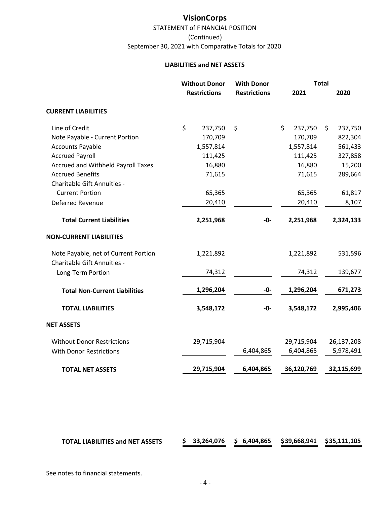STATEMENT of FINANCIAL POSITION September 30, 2021 with Comparative Totals for 2020 (Continued)

#### **LIABILITIES and NET ASSETS**

|                                           | <b>Without Donor</b> |                     | <b>With Donor</b>   | <b>Total</b> |            |    |            |
|-------------------------------------------|----------------------|---------------------|---------------------|--------------|------------|----|------------|
|                                           |                      | <b>Restrictions</b> | <b>Restrictions</b> |              | 2021       |    | 2020       |
| <b>CURRENT LIABILITIES</b>                |                      |                     |                     |              |            |    |            |
| Line of Credit                            | \$                   | 237,750             | \$                  | \$           | 237,750    | \$ | 237,750    |
| Note Payable - Current Portion            |                      | 170,709             |                     |              | 170,709    |    | 822,304    |
| <b>Accounts Payable</b>                   |                      | 1,557,814           |                     |              | 1,557,814  |    | 561,433    |
| <b>Accrued Payroll</b>                    |                      | 111,425             |                     |              | 111,425    |    | 327,858    |
| <b>Accrued and Withheld Payroll Taxes</b> |                      | 16,880              |                     |              | 16,880     |    | 15,200     |
| <b>Accrued Benefits</b>                   |                      | 71,615              |                     |              | 71,615     |    | 289,664    |
| Charitable Gift Annuities -               |                      |                     |                     |              |            |    |            |
| <b>Current Portion</b>                    |                      | 65,365              |                     |              | 65,365     |    | 61,817     |
| Deferred Revenue                          |                      | 20,410              |                     |              | 20,410     |    | 8,107      |
| <b>Total Current Liabilities</b>          |                      | 2,251,968           | -0-                 |              | 2,251,968  |    | 2,324,133  |
| <b>NON-CURRENT LIABILITIES</b>            |                      |                     |                     |              |            |    |            |
| Note Payable, net of Current Portion      |                      | 1,221,892           |                     |              | 1,221,892  |    | 531,596    |
| Charitable Gift Annuities -               |                      |                     |                     |              |            |    |            |
| Long-Term Portion                         |                      | 74,312              |                     |              | 74,312     |    | 139,677    |
| <b>Total Non-Current Liabilities</b>      |                      | 1,296,204           | -0-                 |              | 1,296,204  |    | 671,273    |
| <b>TOTAL LIABILITIES</b>                  |                      | 3,548,172           | -0-                 |              | 3,548,172  |    | 2,995,406  |
| <b>NET ASSETS</b>                         |                      |                     |                     |              |            |    |            |
| <b>Without Donor Restrictions</b>         |                      | 29,715,904          |                     |              | 29,715,904 |    | 26,137,208 |
| <b>With Donor Restrictions</b>            |                      |                     | 6,404,865           |              | 6,404,865  |    | 5,978,491  |
| <b>TOTAL NET ASSETS</b>                   |                      | 29,715,904          | 6,404,865           |              | 36,120,769 |    | 32,115,699 |

|  | <b>TOTAL LIABILITIES and NET ASSETS</b> |  |  |  |  | $$33,264,076$ $$6,404,865$ $$39,668,941$ $$35,111,105$ |  |
|--|-----------------------------------------|--|--|--|--|--------------------------------------------------------|--|
|--|-----------------------------------------|--|--|--|--|--------------------------------------------------------|--|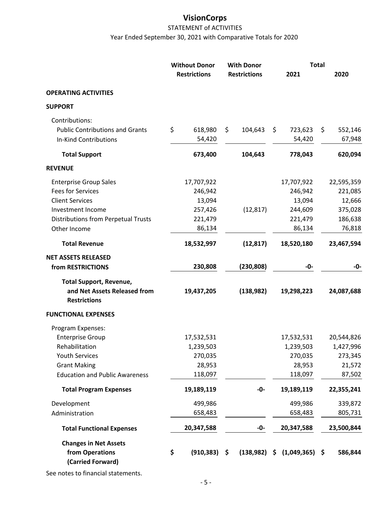## STATEMENT of ACTIVITIES Year Ended September 30, 2021 with Comparative Totals for 2020

|                                                     | <b>Without Donor</b> |                     | <b>With Donor</b> |                     | <b>Total</b>      |      |            |  |
|-----------------------------------------------------|----------------------|---------------------|-------------------|---------------------|-------------------|------|------------|--|
|                                                     |                      | <b>Restrictions</b> |                   | <b>Restrictions</b> | 2021              |      | 2020       |  |
| <b>OPERATING ACTIVITIES</b>                         |                      |                     |                   |                     |                   |      |            |  |
| <b>SUPPORT</b>                                      |                      |                     |                   |                     |                   |      |            |  |
| Contributions:                                      |                      |                     |                   |                     |                   |      |            |  |
| <b>Public Contributions and Grants</b>              | \$                   | 618,980             | \$                | 104,643             | \$<br>723,623     | \$   | 552,146    |  |
| <b>In-Kind Contributions</b>                        |                      | 54,420              |                   |                     | 54,420            |      | 67,948     |  |
| <b>Total Support</b>                                |                      | 673,400             |                   | 104,643             | 778,043           |      | 620,094    |  |
| <b>REVENUE</b>                                      |                      |                     |                   |                     |                   |      |            |  |
| <b>Enterprise Group Sales</b>                       |                      | 17,707,922          |                   |                     | 17,707,922        |      | 22,595,359 |  |
| <b>Fees for Services</b>                            |                      | 246,942             |                   |                     | 246,942           |      | 221,085    |  |
| <b>Client Services</b>                              |                      | 13,094              |                   |                     | 13,094            |      | 12,666     |  |
| Investment Income                                   |                      | 257,426             |                   | (12, 817)           | 244,609           |      | 375,028    |  |
| <b>Distributions from Perpetual Trusts</b>          |                      | 221,479             |                   |                     | 221,479           |      | 186,638    |  |
| Other Income                                        |                      | 86,134              |                   |                     | 86,134            |      | 76,818     |  |
| <b>Total Revenue</b>                                |                      | 18,532,997          |                   | (12, 817)           | 18,520,180        |      | 23,467,594 |  |
| <b>NET ASSETS RELEASED</b>                          |                      |                     |                   |                     |                   |      |            |  |
| from RESTRICTIONS                                   |                      | 230,808             |                   | (230, 808)          | -0-               |      | -0-        |  |
| <b>Total Support, Revenue,</b>                      |                      |                     |                   |                     |                   |      |            |  |
| and Net Assets Released from<br><b>Restrictions</b> |                      | 19,437,205          |                   | (138, 982)          | 19,298,223        |      | 24,087,688 |  |
| <b>FUNCTIONAL EXPENSES</b>                          |                      |                     |                   |                     |                   |      |            |  |
| Program Expenses:                                   |                      |                     |                   |                     |                   |      |            |  |
| <b>Enterprise Group</b>                             |                      | 17,532,531          |                   |                     | 17,532,531        |      | 20,544,826 |  |
| Rehabilitation                                      |                      | 1,239,503           |                   |                     | 1,239,503         |      | 1,427,996  |  |
| <b>Youth Services</b>                               |                      | 270,035             |                   |                     | 270,035           |      | 273,345    |  |
| <b>Grant Making</b>                                 |                      | 28,953              |                   |                     | 28,953            |      | 21,572     |  |
| <b>Education and Public Awareness</b>               |                      | 118,097             |                   |                     | 118,097           |      | 87,502     |  |
| <b>Total Program Expenses</b>                       |                      | 19,189,119          |                   | $-0-$               | 19,189,119        |      | 22,355,241 |  |
| Development                                         |                      | 499,986             |                   |                     | 499,986           |      | 339,872    |  |
| Administration                                      |                      | 658,483             |                   |                     | 658,483           |      | 805,731    |  |
| <b>Total Functional Expenses</b>                    |                      | 20,347,588          |                   | -0-                 | 20,347,588        |      | 23,500,844 |  |
| <b>Changes in Net Assets</b>                        |                      |                     |                   |                     |                   |      |            |  |
| from Operations<br>(Carried Forward)                | \$                   | (910, 383)          | \$                | (138, 982)          | \$<br>(1,049,365) | - \$ | 586,844    |  |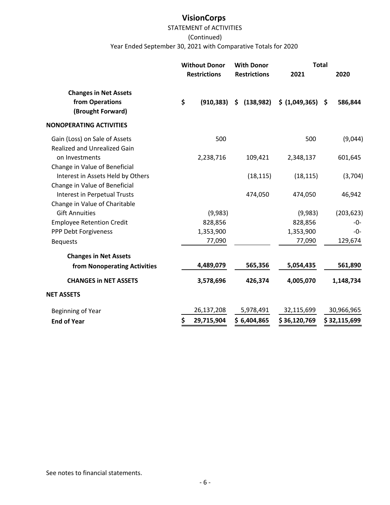### STATEMENT of ACTIVITIES

#### (Continued)

Year Ended September 30, 2021 with Comparative Totals for 2020

|                                                                      | <b>Without Donor</b><br><b>Restrictions</b> | <b>With Donor</b><br><b>Restrictions</b> | <b>Total</b><br>2021 |                   |
|----------------------------------------------------------------------|---------------------------------------------|------------------------------------------|----------------------|-------------------|
| <b>Changes in Net Assets</b><br>from Operations<br>(Brought Forward) | \$<br>(910, 383)                            | (138, 982)<br>\$                         | \$ (1,049,365) \$    | 2020<br>586,844   |
| <b>NONOPERATING ACTIVITIES</b>                                       |                                             |                                          |                      |                   |
| Gain (Loss) on Sale of Assets<br><b>Realized and Unrealized Gain</b> | 500                                         |                                          | 500                  | (9,044)           |
| on Investments<br>Change in Value of Beneficial                      | 2,238,716                                   | 109,421                                  | 2,348,137            | 601,645           |
| Interest in Assets Held by Others<br>Change in Value of Beneficial   |                                             | (18, 115)                                | (18, 115)            | (3,704)           |
| <b>Interest in Perpetual Trusts</b>                                  |                                             | 474,050                                  | 474,050              | 46,942            |
| Change in Value of Charitable<br><b>Gift Annuities</b>               |                                             |                                          |                      |                   |
|                                                                      | (9,983)<br>828,856                          |                                          | (9,983)<br>828,856   | (203, 623)<br>-0- |
| <b>Employee Retention Credit</b><br>PPP Debt Forgiveness             | 1,353,900                                   |                                          | 1,353,900            | -0-               |
| <b>Bequests</b>                                                      | 77,090                                      |                                          | 77,090               | 129,674           |
| <b>Changes in Net Assets</b>                                         |                                             |                                          |                      |                   |
| from Nonoperating Activities                                         | 4,489,079                                   | 565,356                                  | 5,054,435            | 561,890           |
| <b>CHANGES in NET ASSETS</b>                                         | 3,578,696                                   | 426,374                                  | 4,005,070            | 1,148,734         |
| <b>NET ASSETS</b>                                                    |                                             |                                          |                      |                   |
| Beginning of Year                                                    | 26,137,208                                  | 5,978,491                                | 32,115,699           | 30,966,965        |
| <b>End of Year</b>                                                   | \$<br>29,715,904                            | \$6,404,865                              | \$36,120,769         | \$32,115,699      |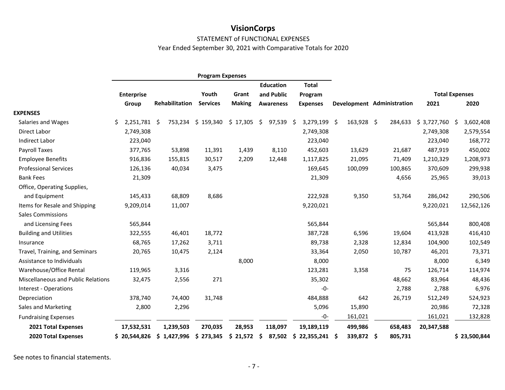#### STATEMENT of FUNCTIONAL EXPENSES

Year Ended September 30, 2021 with Comparative Totals for 2020

|                                    |                     |                | <b>Program Expenses</b> |               |                   |                  |                   |                            |             |                       |
|------------------------------------|---------------------|----------------|-------------------------|---------------|-------------------|------------------|-------------------|----------------------------|-------------|-----------------------|
|                                    |                     |                |                         |               | <b>Education</b>  | <b>Total</b>     |                   |                            |             |                       |
|                                    | <b>Enterprise</b>   |                | Youth                   | Grant         | and Public        | Program          |                   |                            |             | <b>Total Expenses</b> |
|                                    | Group               | Rehabilitation | <b>Services</b>         | <b>Making</b> | <b>Awareness</b>  | <b>Expenses</b>  |                   | Development Administration | 2021        | 2020                  |
| <b>EXPENSES</b>                    |                     |                |                         |               |                   |                  |                   |                            |             |                       |
| Salaries and Wages                 | 2,251,781 \$<br>\$. | 753,234        | \$159,340               | \$17,305      | \$<br>$97,539$ \$ | 3,279,199        | 163,928 \$<br>-\$ | 284,633                    | \$3,727,760 | 3,602,408<br>-S       |
| Direct Labor                       | 2,749,308           |                |                         |               |                   | 2,749,308        |                   |                            | 2,749,308   | 2,579,554             |
| Indirect Labor                     | 223,040             |                |                         |               |                   | 223,040          |                   |                            | 223,040     | 168,772               |
| Payroll Taxes                      | 377,765             | 53,898         | 11,391                  | 1,439         | 8,110             | 452,603          | 13,629            | 21,687                     | 487,919     | 450,002               |
| <b>Employee Benefits</b>           | 916,836             | 155,815        | 30,517                  | 2,209         | 12,448            | 1,117,825        | 21,095            | 71,409                     | 1,210,329   | 1,208,973             |
| <b>Professional Services</b>       | 126,136             | 40,034         | 3,475                   |               |                   | 169,645          | 100,099           | 100,865                    | 370,609     | 299,938               |
| <b>Bank Fees</b>                   | 21,309              |                |                         |               |                   | 21,309           |                   | 4,656                      | 25,965      | 39,013                |
| Office, Operating Supplies,        |                     |                |                         |               |                   |                  |                   |                            |             |                       |
| and Equipment                      | 145,433             | 68,809         | 8,686                   |               |                   | 222,928          | 9,350             | 53,764                     | 286,042     | 290,506               |
| Items for Resale and Shipping      | 9,209,014           | 11,007         |                         |               |                   | 9,220,021        |                   |                            | 9,220,021   | 12,562,126            |
| <b>Sales Commissions</b>           |                     |                |                         |               |                   |                  |                   |                            |             |                       |
| and Licensing Fees                 | 565,844             |                |                         |               |                   | 565,844          |                   |                            | 565,844     | 800,408               |
| <b>Building and Utilities</b>      | 322,555             | 46,401         | 18,772                  |               |                   | 387,728          | 6,596             | 19,604                     | 413,928     | 416,410               |
| Insurance                          | 68,765              | 17,262         | 3,711                   |               |                   | 89,738           | 2,328             | 12,834                     | 104,900     | 102,549               |
| Travel, Training, and Seminars     | 20,765              | 10,475         | 2,124                   |               |                   | 33,364           | 2,050             | 10,787                     | 46,201      | 73,371                |
| Assistance to Individuals          |                     |                |                         | 8,000         |                   | 8,000            |                   |                            | 8,000       | 6,349                 |
| Warehouse/Office Rental            | 119,965             | 3,316          |                         |               |                   | 123,281          | 3,358             | 75                         | 126,714     | 114,974               |
| Miscellaneous and Public Relations | 32,475              | 2,556          | 271                     |               |                   | 35,302           |                   | 48,662                     | 83,964      | 48,436                |
| Interest - Operations              |                     |                |                         |               |                   | -0-              |                   | 2,788                      | 2,788       | 6,976                 |
| Depreciation                       | 378,740             | 74,400         | 31,748                  |               |                   | 484,888          | 642               | 26,719                     | 512,249     | 524,923               |
| Sales and Marketing                | 2,800               | 2,296          |                         |               |                   | 5,096            | 15,890            |                            | 20,986      | 72,328                |
| <b>Fundraising Expenses</b>        |                     |                |                         |               |                   | -0-              | 161,021           |                            | 161,021     | 132,828               |
| 2021 Total Expenses                | 17,532,531          | 1,239,503      | 270,035                 | 28,953        | 118,097           | 19,189,119       | 499,986           | 658,483                    | 20,347,588  |                       |
| <b>2020 Total Expenses</b>         | \$20,544,826        | \$1,427,996    | 273,345<br>\$           | 21,572<br>\$  | 87,502<br>\$.     | 22,355,241<br>\$ | 339,872 \$<br>-S  | 805,731                    |             | \$23,500,844          |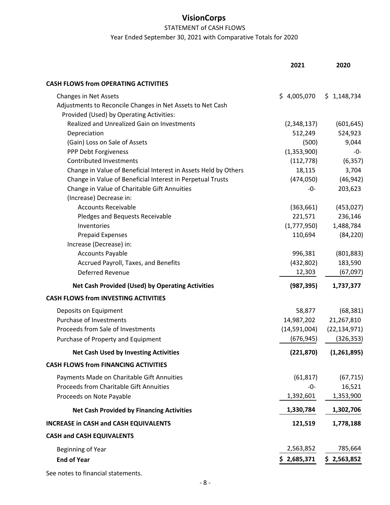## STATEMENT of CASH FLOWS

Year Ended September 30, 2021 with Comparative Totals for 2020

|                                                                 | 2021         | 2020           |
|-----------------------------------------------------------------|--------------|----------------|
| <b>CASH FLOWS from OPERATING ACTIVITIES</b>                     |              |                |
| <b>Changes in Net Assets</b>                                    | \$4,005,070  | \$1,148,734    |
| Adjustments to Reconcile Changes in Net Assets to Net Cash      |              |                |
| Provided (Used) by Operating Activities:                        |              |                |
| Realized and Unrealized Gain on Investments                     | (2,348,137)  | (601, 645)     |
| Depreciation                                                    | 512,249      | 524,923        |
| (Gain) Loss on Sale of Assets                                   | (500)        | 9,044          |
| PPP Debt Forgiveness                                            | (1,353,900)  | -0-            |
| <b>Contributed Investments</b>                                  | (112, 778)   | (6, 357)       |
| Change in Value of Beneficial Interest in Assets Held by Others | 18,115       | 3,704          |
| Change in Value of Beneficial Interest in Perpetual Trusts      | (474, 050)   | (46, 942)      |
| Change in Value of Charitable Gift Annuities                    | -0-          | 203,623        |
| (Increase) Decrease in:                                         |              |                |
| <b>Accounts Receivable</b>                                      | (363, 661)   | (453, 027)     |
| Pledges and Bequests Receivable                                 | 221,571      | 236,146        |
| Inventories                                                     | (1,777,950)  | 1,488,784      |
| <b>Prepaid Expenses</b>                                         | 110,694      | (84, 220)      |
| Increase (Decrease) in:                                         |              |                |
| <b>Accounts Payable</b>                                         | 996,381      | (801, 883)     |
| Accrued Payroll, Taxes, and Benefits                            | (432,802)    | 183,590        |
| <b>Deferred Revenue</b>                                         | 12,303       | (67,097)       |
| <b>Net Cash Provided (Used) by Operating Activities</b>         | (987, 395)   | 1,737,377      |
| <b>CASH FLOWS from INVESTING ACTIVITIES</b>                     |              |                |
| Deposits on Equipment                                           | 58,877       | (68, 381)      |
| Purchase of Investments                                         | 14,987,202   | 21,267,810     |
| Proceeds from Sale of Investments                               | (14,591,004) | (22, 134, 971) |
| Purchase of Property and Equipment                              | (676, 945)   | (326, 353)     |
| <b>Net Cash Used by Investing Activities</b>                    | (221, 870)   | (1,261,895)    |
| <b>CASH FLOWS from FINANCING ACTIVITIES</b>                     |              |                |
| Payments Made on Charitable Gift Annuities                      | (61, 817)    | (67, 715)      |
| <b>Proceeds from Charitable Gift Annuities</b>                  | -0-          | 16,521         |
| Proceeds on Note Payable                                        | 1,392,601    | 1,353,900      |
| <b>Net Cash Provided by Financing Activities</b>                | 1,330,784    | 1,302,706      |
| <b>INCREASE in CASH and CASH EQUIVALENTS</b>                    | 121,519      | 1,778,188      |
| <b>CASH and CASH EQUIVALENTS</b>                                |              |                |
| Beginning of Year                                               | 2,563,852    | 785,664        |
| <b>End of Year</b>                                              | \$2,685,371  | \$2,563,852    |
|                                                                 |              |                |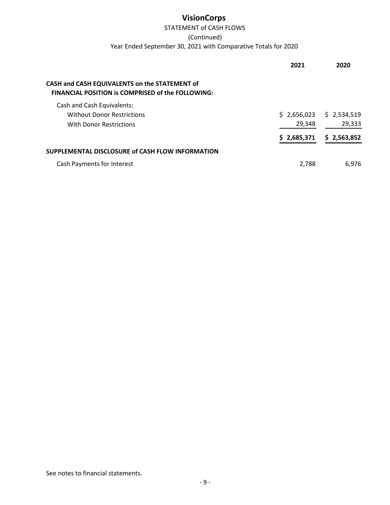## STATEMENT of CASH FLOWS

(Continued)

Year Ended September 30, 2021 with Comparative Totals for 2020

|                                                                                                           | 2021        | 2020        |
|-----------------------------------------------------------------------------------------------------------|-------------|-------------|
| CASH and CASH EQUIVALENTS on the STATEMENT of<br><b>FINANCIAL POSITION is COMPRISED of the FOLLOWING:</b> |             |             |
| Cash and Cash Equivalents:                                                                                |             |             |
| <b>Without Donor Restrictions</b>                                                                         | \$2,656,023 | \$2,534,519 |
| With Donor Restrictions                                                                                   | 29,348      | 29,333      |
|                                                                                                           | \$2,685,371 | \$2,563,852 |
| SUPPLEMENTAL DISCLOSURE of CASH FLOW INFORMATION                                                          |             |             |
| <b>Cash Payments for Interest</b>                                                                         | 2.788       | 6.976       |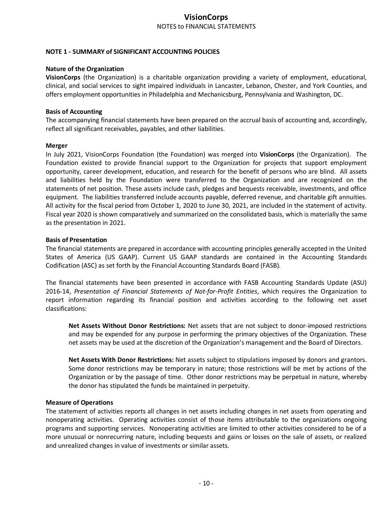## **VisionCorps**  NOTES to FINANCIAL STATEMENTS

#### **NOTE 1 ‐ SUMMARY of SIGNIFICANT ACCOUNTING POLICIES**

#### **Nature of the Organization**

**VisionCorps** (the Organization) is a charitable organization providing a variety of employment, educational, clinical, and social services to sight impaired individuals in Lancaster, Lebanon, Chester, and York Counties, and offers employment opportunities in Philadelphia and Mechanicsburg, Pennsylvania and Washington, DC.

#### **Basis of Accounting**

The accompanying financial statements have been prepared on the accrual basis of accounting and, accordingly, reflect all significant receivables, payables, and other liabilities.

#### **Merger**

In July 2021, VisionCorps Foundation (the Foundation) was merged into **VisionCorps** (the Organization). The Foundation existed to provide financial support to the Organization for projects that support employment opportunity, career development, education, and research for the benefit of persons who are blind. All assets and liabilities held by the Foundation were transferred to the Organization and are recognized on the statements of net position. These assets include cash, pledges and bequests receivable, investments, and office equipment. The liabilities transferred include accounts payable, deferred revenue, and charitable gift annuities. All activity for the fiscal period from October 1, 2020 to June 30, 2021, are included in the statement of activity. Fiscal year 2020 is shown comparatively and summarized on the consolidated basis, which is materially the same as the presentation in 2021.

#### **Basis of Presentation**

The financial statements are prepared in accordance with accounting principles generally accepted in the United States of America (US GAAP). Current US GAAP standards are contained in the Accounting Standards Codification (ASC) as set forth by the Financial Accounting Standards Board (FASB).

The financial statements have been presented in accordance with FASB Accounting Standards Update (ASU) 2016‐14, *Presentation of Financial Statements of Not‐for‐Profit Entities*, which requires the Organization to report information regarding its financial position and activities according to the following net asset classifications:

**Net Assets Without Donor Restrictions:** Net assets that are not subject to donor‐imposed restrictions and may be expended for any purpose in performing the primary objectives of the Organization. These net assets may be used at the discretion of the Organization's management and the Board of Directors.

**Net Assets With Donor Restrictions:** Net assets subject to stipulations imposed by donors and grantors. Some donor restrictions may be temporary in nature; those restrictions will be met by actions of the Organization or by the passage of time. Other donor restrictions may be perpetual in nature, whereby the donor has stipulated the funds be maintained in perpetuity.

#### **Measure of Operations**

The statement of activities reports all changes in net assets including changes in net assets from operating and nonoperating activities. Operating activities consist of those items attributable to the organizations ongoing programs and supporting services. Nonoperating activities are limited to other activities considered to be of a more unusual or nonrecurring nature, including bequests and gains or losses on the sale of assets, or realized and unrealized changes in value of investments or similar assets.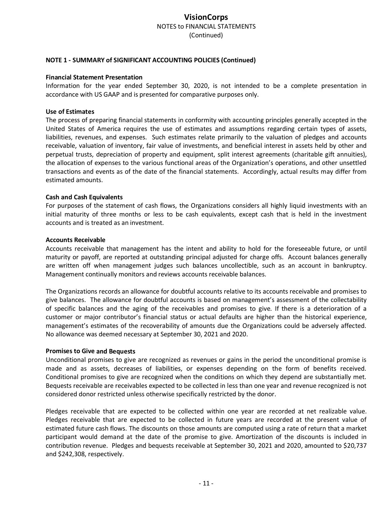#### **NOTE 1 ‐ SUMMARY of SIGNIFICANT ACCOUNTING POLICIES (Continued)**

#### **Financial Statement Presentation**

Information for the year ended September 30, 2020, is not intended to be a complete presentation in accordance with US GAAP and is presented for comparative purposes only.

#### **Use of Estimates**

The process of preparing financial statements in conformity with accounting principles generally accepted in the United States of America requires the use of estimates and assumptions regarding certain types of assets, liabilities, revenues, and expenses. Such estimates relate primarily to the valuation of pledges and accounts receivable, valuation of inventory, fair value of investments, and beneficial interest in assets held by other and perpetual trusts, depreciation of property and equipment, split interest agreements (charitable gift annuities), the allocation of expenses to the various functional areas of the Organization's operations, and other unsettled transactions and events as of the date of the financial statements. Accordingly, actual results may differ from estimated amounts.

#### **Cash and Cash Equivalents**

For purposes of the statement of cash flows, the Organizations considers all highly liquid investments with an initial maturity of three months or less to be cash equivalents, except cash that is held in the investment accounts and is treated as an investment.

#### **Accounts Receivable**

Accounts receivable that management has the intent and ability to hold for the foreseeable future, or until maturity or payoff, are reported at outstanding principal adjusted for charge offs. Account balances generally are written off when management judges such balances uncollectible, such as an account in bankruptcy. Management continually monitors and reviews accounts receivable balances.

The Organizations records an allowance for doubtful accounts relative to its accounts receivable and promises to give balances. The allowance for doubtful accounts is based on management's assessment of the collectability of specific balances and the aging of the receivables and promises to give. If there is a deterioration of a customer or major contributor's financial status or actual defaults are higher than the historical experience, management's estimates of the recoverability of amounts due the Organizations could be adversely affected. No allowance was deemed necessary at September 30, 2021 and 2020.

#### **Promises to Give and Bequests**

Unconditional promises to give are recognized as revenues or gains in the period the unconditional promise is made and as assets, decreases of liabilities, or expenses depending on the form of benefits received. Conditional promises to give are recognized when the conditions on which they depend are substantially met. Bequests receivable are receivables expected to be collected in less than one year and revenue recognized is not considered donor restricted unless otherwise specifically restricted by the donor.

Pledges receivable that are expected to be collected within one year are recorded at net realizable value. Pledges receivable that are expected to be collected in future years are recorded at the present value of estimated future cash flows. The discounts on those amounts are computed using a rate of return that a market participant would demand at the date of the promise to give. Amortization of the discounts is included in contribution revenue. Pledges and bequests receivable at September 30, 2021 and 2020, amounted to \$20,737 and \$242,308, respectively.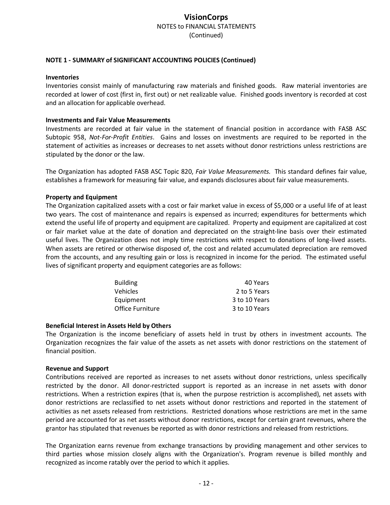#### **NOTE 1 ‐ SUMMARY of SIGNIFICANT ACCOUNTING POLICIES (Continued)**

#### **Inventories**

Inventories consist mainly of manufacturing raw materials and finished goods. Raw material inventories are recorded at lower of cost (first in, first out) or net realizable value. Finished goods inventory is recorded at cost and an allocation for applicable overhead.

#### **Investments and Fair Value Measurements**

Investments are recorded at fair value in the statement of financial position in accordance with FASB ASC Subtopic 958, *Not‐For‐Profit Entities*. Gains and losses on investments are required to be reported in the statement of activities as increases or decreases to net assets without donor restrictions unless restrictions are stipulated by the donor or the law.

The Organization has adopted FASB ASC Topic 820, *Fair Value Measurements.* This standard defines fair value, establishes a framework for measuring fair value, and expands disclosures about fair value measurements.

#### **Property and Equipment**

The Organization capitalized assets with a cost or fair market value in excess of \$5,000 or a useful life of at least two years. The cost of maintenance and repairs is expensed as incurred; expenditures for betterments which extend the useful life of property and equipment are capitalized. Property and equipment are capitalized at cost or fair market value at the date of donation and depreciated on the straight‐line basis over their estimated useful lives. The Organization does not imply time restrictions with respect to donations of long‐lived assets. When assets are retired or otherwise disposed of, the cost and related accumulated depreciation are removed from the accounts, and any resulting gain or loss is recognized in income for the period. The estimated useful lives of significant property and equipment categories are as follows:

| <b>Building</b>  | 40 Years      |
|------------------|---------------|
| <b>Vehicles</b>  | 2 to 5 Years  |
| Equipment        | 3 to 10 Years |
| Office Furniture | 3 to 10 Years |

#### **Beneficial Interest in Assets Held by Others**

The Organization is the income beneficiary of assets held in trust by others in investment accounts. The Organization recognizes the fair value of the assets as net assets with donor restrictions on the statement of financial position.

#### **Revenue and Support**

Contributions received are reported as increases to net assets without donor restrictions, unless specifically restricted by the donor. All donor-restricted support is reported as an increase in net assets with donor restrictions. When a restriction expires (that is, when the purpose restriction is accomplished), net assets with donor restrictions are reclassified to net assets without donor restrictions and reported in the statement of activities as net assets released from restrictions. Restricted donations whose restrictions are met in the same period are accounted for as net assets without donor restrictions, except for certain grant revenues, where the grantor has stipulated that revenues be reported as with donor restrictions and released from restrictions.

The Organization earns revenue from exchange transactions by providing management and other services to third parties whose mission closely aligns with the Organization's. Program revenue is billed monthly and recognized as income ratably over the period to which it applies.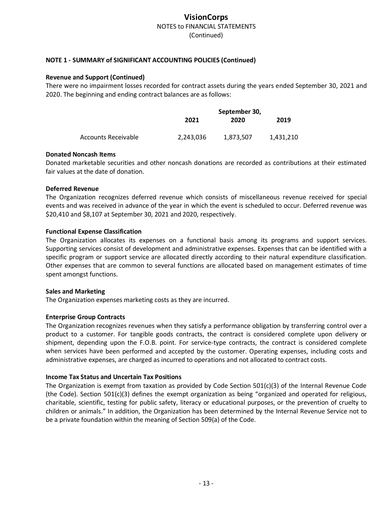#### **NOTE 1 ‐ SUMMARY of SIGNIFICANT ACCOUNTING POLICIES (Continued)**

#### **Revenue and Support (Continued)**

There were no impairment losses recorded for contract assets during the years ended September 30, 2021 and 2020. The beginning and ending contract balances are as follows:

|                     |           | September 30, |           |
|---------------------|-----------|---------------|-----------|
|                     | 2021      | 2020          | 2019      |
| Accounts Receivable | 2,243,036 | 1,873,507     | 1,431,210 |

#### **Donated Noncash Items**

Donated marketable securities and other noncash donations are recorded as contributions at their estimated fair values at the date of donation.

#### **Deferred Revenue**

The Organization recognizes deferred revenue which consists of miscellaneous revenue received for special events and was received in advance of the year in which the event is scheduled to occur. Deferred revenue was \$20,410 and \$8,107 at September 30, 2021 and 2020, respectively.

#### **Functional Expense Classification**

The Organization allocates its expenses on a functional basis among its programs and support services. Supporting services consist of development and administrative expenses. Expenses that can be identified with a specific program or support service are allocated directly according to their natural expenditure classification. Other expenses that are common to several functions are allocated based on management estimates of time spent amongst functions.

#### **Sales and Marketing**

The Organization expenses marketing costs as they are incurred.

#### **Enterprise Group Contracts**

The Organization recognizes revenues when they satisfy a performance obligation by transferring control over a product to a customer. For tangible goods contracts, the contract is considered complete upon delivery or shipment, depending upon the F.O.B. point. For service-type contracts, the contract is considered complete when services have been performed and accepted by the customer. Operating expenses, including costs and administrative expenses, are charged as incurred to operations and not allocated to contract costs.

#### **Income Tax Status and Uncertain Tax Positions**

The Organization is exempt from taxation as provided by Code Section  $501(c)(3)$  of the Internal Revenue Code (the Code). Section 501(c)(3) defines the exempt organization as being "organized and operated for religious, charitable, scientific, testing for public safety, literacy or educational purposes, or the prevention of cruelty to children or animals." In addition, the Organization has been determined by the Internal Revenue Service not to be a private foundation within the meaning of Section 509(a) of the Code.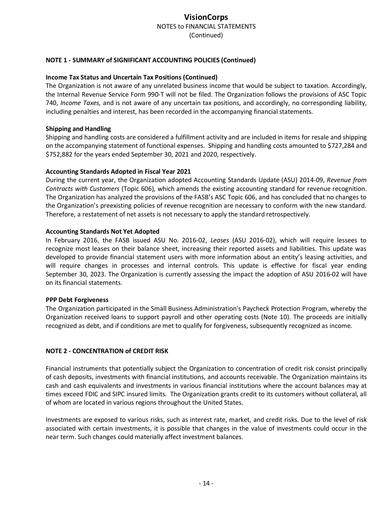#### **NOTE 1 ‐ SUMMARY of SIGNIFICANT ACCOUNTING POLICIES (Continued)**

#### **Income Tax Status and Uncertain Tax Positions (Continued)**

The Organization is not aware of any unrelated business income that would be subject to taxation. Accordingly, the Internal Revenue Service Form 990‐T will not be filed. The Organization follows the provisions of ASC Topic 740, *Income Taxes,* and is not aware of any uncertain tax positions, and accordingly, no corresponding liability, including penalties and interest, has been recorded in the accompanying financial statements.

#### **Shipping and Handling**

Shipping and handling costs are considered a fulfillment activity and are included in items for resale and shipping on the accompanying statement of functional expenses. Shipping and handling costs amounted to \$727,284 and \$752,882 for the years ended September 30, 2021 and 2020, respectively.

#### **Accounting Standards Adopted in Fiscal Year 2021**

During the current year, the Organization adopted Accounting Standards Update (ASU) 2014‐09, *Revenue from Contracts with Customers* (Topic 606), which amends the existing accounting standard for revenue recognition. The Organization has analyzed the provisions of the FASB's ASC Topic 606, and has concluded that no changes to the Organization's preexisting policies of revenue recognition are necessary to conform with the new standard. Therefore, a restatement of net assets is not necessary to apply the standard retrospectively.

#### **Accounting Standards Not Yet Adopted**

In February 2016, the FASB issued ASU No. 2016‐02, *Leases* (ASU 2016‐02), which will require lessees to recognize most leases on their balance sheet, increasing their reported assets and liabilities. This update was developed to provide financial statement users with more information about an entity's leasing activities, and will require changes in processes and internal controls. This update is effective for fiscal year ending September 30, 2023. The Organization is currently assessing the impact the adoption of ASU 2016‐02 will have on its financial statements.

#### **PPP Debt Forgiveness**

The Organization participated in the Small Business Administration's Paycheck Protection Program, whereby the Organization received loans to support payroll and other operating costs (Note 10). The proceeds are initially recognized as debt, and if conditions are met to qualify for forgiveness, subsequently recognized as income.

#### **NOTE 2 ‐ CONCENTRATION of CREDIT RISK**

Financial instruments that potentially subject the Organization to concentration of credit risk consist principally of cash deposits, investments with financial institutions, and accounts receivable. The Organization maintains its cash and cash equivalents and investments in various financial institutions where the account balances may at times exceed FDIC and SIPC insured limits. The Organization grants credit to its customers without collateral, all of whom are located in various regions throughout the United States.

Investments are exposed to various risks, such as interest rate, market, and credit risks. Due to the level of risk associated with certain investments, it is possible that changes in the value of investments could occur in the near term. Such changes could materially affect investment balances.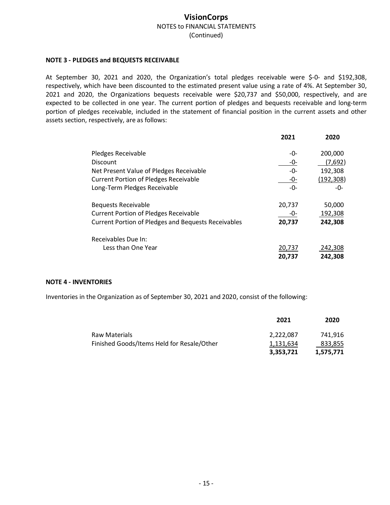#### **NOTE 3 ‐ PLEDGES and BEQUESTS RECEIVABLE**

At September 30, 2021 and 2020, the Organization's total pledges receivable were \$‐0‐ and \$192,308, respectively, which have been discounted to the estimated present value using a rate of 4%. At September 30, 2021 and 2020, the Organizations bequests receivable were \$20,737 and \$50,000, respectively, and are expected to be collected in one year. The current portion of pledges and bequests receivable and long-term portion of pledges receivable, included in the statement of financial position in the current assets and other assets section, respectively, are as follows:

|                                                            | 2021   | 2020       |
|------------------------------------------------------------|--------|------------|
| Pledges Receivable                                         | -0-    | 200,000    |
| <b>Discount</b>                                            | -0-    | (7,692)    |
| Net Present Value of Pledges Receivable                    | -0-    | 192,308    |
| <b>Current Portion of Pledges Receivable</b>               | -0-    | (192, 308) |
| Long-Term Pledges Receivable                               | -0-    | $ \Omega$  |
| <b>Bequests Receivable</b>                                 | 20,737 | 50,000     |
| <b>Current Portion of Pledges Receivable</b>               | -0-    | 192,308    |
| <b>Current Portion of Pledges and Bequests Receivables</b> | 20,737 | 242,308    |
| Receivables Due In:                                        |        |            |
| Less than One Year                                         | 20,737 | 242,308    |
|                                                            | 20,737 | 242,308    |

#### **NOTE 4 ‐ INVENTORIES**

Inventories in the Organization as of September 30, 2021 and 2020, consist of the following:

|                                            | 2021      | 2020      |
|--------------------------------------------|-----------|-----------|
| Raw Materials                              | 2,222,087 | 741.916   |
| Finished Goods/Items Held for Resale/Other | 1,131,634 | 833,855   |
|                                            | 3.353.721 | 1,575,771 |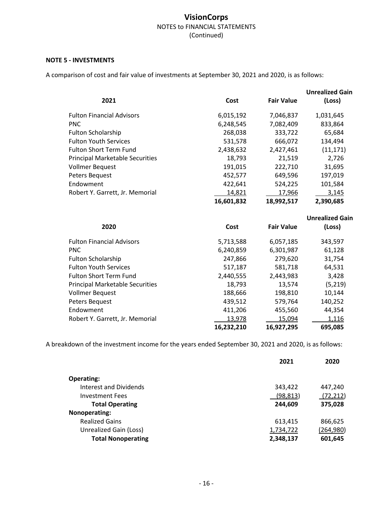#### **NOTE 5 - INVESTMENTS**

A comparison of cost and fair value of investments at September 30, 2021 and 2020, is as follows:

| 2021                                   | Cost       | <b>Fair Value</b> | <b>Unrealized Gain</b><br>(Loss) |
|----------------------------------------|------------|-------------------|----------------------------------|
| <b>Fulton Financial Advisors</b>       | 6,015,192  | 7,046,837         | 1,031,645                        |
| <b>PNC</b>                             | 6,248,545  | 7,082,409         | 833,864                          |
| <b>Fulton Scholarship</b>              | 268,038    | 333,722           | 65,684                           |
| <b>Fulton Youth Services</b>           | 531,578    | 666,072           | 134,494                          |
| <b>Fulton Short Term Fund</b>          | 2,438,632  | 2,427,461         | (11, 171)                        |
| <b>Principal Marketable Securities</b> | 18,793     | 21,519            | 2,726                            |
| <b>Vollmer Bequest</b>                 | 191,015    | 222,710           | 31,695                           |
| Peters Bequest                         | 452,577    | 649,596           | 197,019                          |
| Endowment                              | 422,641    | 524,225           | 101,584                          |
| Robert Y. Garrett, Jr. Memorial        | 14,821     | 17,966            | 3,145                            |
|                                        | 16,601,832 | 18,992,517        | 2,390,685                        |

| Cost       | <b>Fair Value</b> | <b>Unrealized Gain</b><br>(Loss) |
|------------|-------------------|----------------------------------|
| 5,713,588  | 6,057,185         | 343,597                          |
| 6,240,859  | 6,301,987         | 61,128                           |
| 247,866    | 279,620           | 31,754                           |
| 517,187    | 581,718           | 64,531                           |
| 2,440,555  | 2,443,983         | 3,428                            |
| 18,793     | 13,574            | (5,219)                          |
| 188,666    | 198,810           | 10,144                           |
| 439,512    | 579,764           | 140,252                          |
| 411,206    | 455,560           | 44.354                           |
| 13,978     | 15,094            | 1,116                            |
| 16,232,210 | 16.927.295        | 695.085                          |
|            |                   |                                  |

A breakdown of the investment income for the years ended September 30, 2021 and 2020, is as follows:

|                           | 2021      | 2020      |
|---------------------------|-----------|-----------|
| <b>Operating:</b>         |           |           |
| Interest and Dividends    | 343,422   | 447,240   |
| Investment Fees           | (98,813)  | (72, 212) |
| <b>Total Operating</b>    | 244,609   | 375,028   |
| Nonoperating:             |           |           |
| <b>Realized Gains</b>     | 613,415   | 866,625   |
| Unrealized Gain (Loss)    | 1,734,722 | (264,980) |
| <b>Total Nonoperating</b> | 2,348,137 | 601,645   |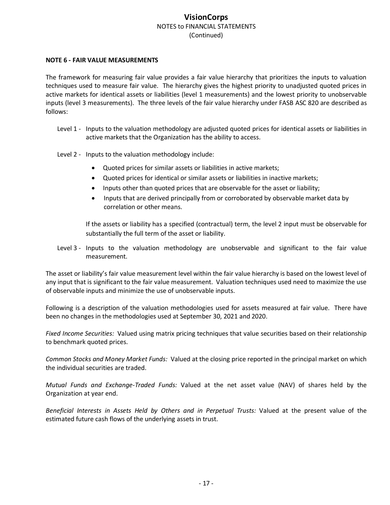#### **NOTE 6 ‐ FAIR VALUE MEASUREMENTS**

The framework for measuring fair value provides a fair value hierarchy that prioritizes the inputs to valuation techniques used to measure fair value. The hierarchy gives the highest priority to unadjusted quoted prices in active markets for identical assets or liabilities (level 1 measurements) and the lowest priority to unobservable inputs (level 3 measurements). The three levels of the fair value hierarchy under FASB ASC 820 are described as follows:

- Level 1 Inputs to the valuation methodology are adjusted quoted prices for identical assets or liabilities in active markets that the Organization has the ability to access.
- Level 2 Inputs to the valuation methodology include:
	- Quoted prices for similar assets or liabilities in active markets;
	- Quoted prices for identical or similar assets or liabilities in inactive markets;
	- Inputs other than quoted prices that are observable for the asset or liability;
	- Inputs that are derived principally from or corroborated by observable market data by correlation or other means.

If the assets or liability has a specified (contractual) term, the level 2 input must be observable for substantially the full term of the asset or liability.

Level 3 - Inputs to the valuation methodology are unobservable and significant to the fair value measurement.

The asset or liability's fair value measurement level within the fair value hierarchy is based on the lowest level of any input that is significant to the fair value measurement. Valuation techniques used need to maximize the use of observable inputs and minimize the use of unobservable inputs.

Following is a description of the valuation methodologies used for assets measured at fair value. There have been no changes in the methodologies used at September 30, 2021 and 2020.

*Fixed Income Securities:* Valued using matrix pricing techniques that value securities based on their relationship to benchmark quoted prices.

*Common Stocks and Money Market Funds:* Valued at the closing price reported in the principal market on which the individual securities are traded.

*Mutual Funds and Exchange‐Traded Funds:* Valued at the net asset value (NAV) of shares held by the Organization at year end.

*Beneficial Interests in Assets Held by Others and in Perpetual Trusts:* Valued at the present value of the estimated future cash flows of the underlying assets in trust.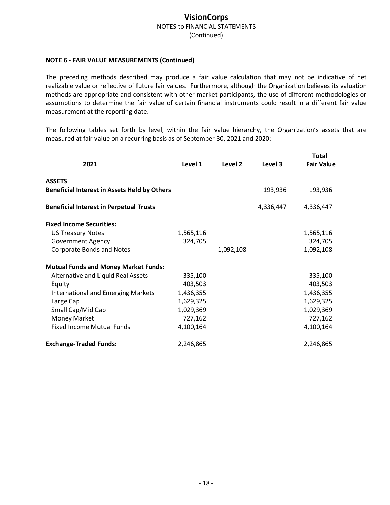#### **NOTE 6 ‐ FAIR VALUE MEASUREMENTS (Continued)**

The preceding methods described may produce a fair value calculation that may not be indicative of net realizable value or reflective of future fair values. Furthermore, although the Organization believes its valuation methods are appropriate and consistent with other market participants, the use of different methodologies or assumptions to determine the fair value of certain financial instruments could result in a different fair value measurement at the reporting date.

The following tables set forth by level, within the fair value hierarchy, the Organization's assets that are measured at fair value on a recurring basis as of September 30, 2021 and 2020:

| 2021                                                | Level 1   | Level 2   | Level 3   | Total<br><b>Fair Value</b> |
|-----------------------------------------------------|-----------|-----------|-----------|----------------------------|
| <b>ASSETS</b>                                       |           |           |           |                            |
| <b>Beneficial Interest in Assets Held by Others</b> |           |           | 193,936   | 193,936                    |
| <b>Beneficial Interest in Perpetual Trusts</b>      |           |           | 4,336,447 | 4,336,447                  |
| <b>Fixed Income Securities:</b>                     |           |           |           |                            |
| <b>US Treasury Notes</b>                            | 1,565,116 |           |           | 1,565,116                  |
| <b>Government Agency</b>                            | 324,705   |           |           | 324,705                    |
| <b>Corporate Bonds and Notes</b>                    |           | 1,092,108 |           | 1,092,108                  |
| <b>Mutual Funds and Money Market Funds:</b>         |           |           |           |                            |
| Alternative and Liquid Real Assets                  | 335,100   |           |           | 335,100                    |
| Equity                                              | 403,503   |           |           | 403,503                    |
| <b>International and Emerging Markets</b>           | 1,436,355 |           |           | 1,436,355                  |
| Large Cap                                           | 1,629,325 |           |           | 1,629,325                  |
| Small Cap/Mid Cap                                   | 1,029,369 |           |           | 1,029,369                  |
| Money Market                                        | 727,162   |           |           | 727,162                    |
| <b>Fixed Income Mutual Funds</b>                    | 4,100,164 |           |           | 4,100,164                  |
| <b>Exchange-Traded Funds:</b>                       | 2,246,865 |           |           | 2,246,865                  |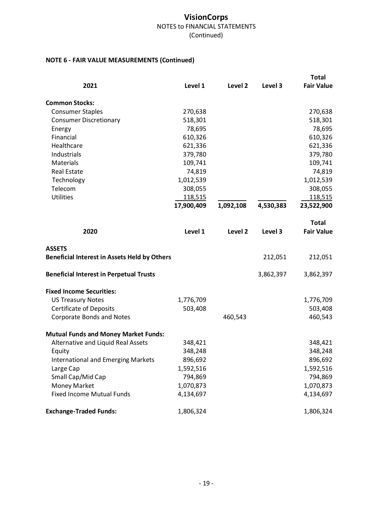## **NOTE 6 ‐ FAIR VALUE MEASUREMENTS (Continued)**

|                                                                      |            |           |           | <b>Total</b>      |
|----------------------------------------------------------------------|------------|-----------|-----------|-------------------|
| 2021                                                                 | Level 1    | Level 2   | Level 3   | <b>Fair Value</b> |
| <b>Common Stocks:</b>                                                |            |           |           |                   |
| <b>Consumer Staples</b>                                              | 270,638    |           |           | 270,638           |
| <b>Consumer Discretionary</b>                                        | 518,301    |           |           | 518,301           |
| Energy                                                               | 78,695     |           |           | 78,695            |
| Financial                                                            | 610,326    |           |           | 610,326           |
| Healthcare                                                           | 621,336    |           |           | 621,336           |
| Industrials                                                          | 379,780    |           |           | 379,780           |
| Materials                                                            | 109,741    |           |           | 109,741           |
| <b>Real Estate</b>                                                   | 74,819     |           |           | 74,819            |
| Technology                                                           | 1,012,539  |           |           | 1,012,539         |
| Telecom                                                              | 308,055    |           |           | 308,055           |
| <b>Utilities</b>                                                     | 118,515    |           |           | 118,515           |
|                                                                      | 17,900,409 | 1,092,108 | 4,530,383 | 23,522,900        |
|                                                                      |            |           |           | <b>Total</b>      |
| 2020                                                                 | Level 1    | Level 2   | Level 3   | <b>Fair Value</b> |
| <b>ASSETS</b><br><b>Beneficial Interest in Assets Held by Others</b> |            |           | 212,051   | 212,051           |
| <b>Beneficial Interest in Perpetual Trusts</b>                       |            |           | 3,862,397 | 3,862,397         |
| <b>Fixed Income Securities:</b>                                      |            |           |           |                   |
| <b>US Treasury Notes</b>                                             | 1,776,709  |           |           | 1,776,709         |
| <b>Certificate of Deposits</b>                                       | 503,408    |           |           | 503,408           |
| <b>Corporate Bonds and Notes</b>                                     |            | 460,543   |           | 460,543           |
| <b>Mutual Funds and Money Market Funds:</b>                          |            |           |           |                   |
| Alternative and Liquid Real Assets                                   | 348,421    |           |           | 348,421           |
| Equity                                                               | 348,248    |           |           | 348,248           |
| <b>International and Emerging Markets</b>                            | 896,692    |           |           | 896,692           |
| Large Cap                                                            | 1,592,516  |           |           | 1,592,516         |
| Small Cap/Mid Cap                                                    | 794,869    |           |           | 794,869           |
| Money Market                                                         | 1,070,873  |           |           | 1,070,873         |
| <b>Fixed Income Mutual Funds</b>                                     | 4,134,697  |           |           | 4,134,697         |
| <b>Exchange-Traded Funds:</b>                                        | 1,806,324  |           |           | 1,806,324         |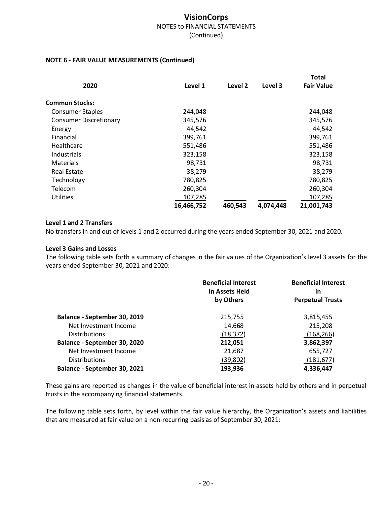#### **NOTE 6 ‐ FAIR VALUE MEASUREMENTS (Continued)**

|            |         |           | <b>Total</b>      |  |
|------------|---------|-----------|-------------------|--|
| Level 1    | Level 2 | Level 3   | <b>Fair Value</b> |  |
|            |         |           |                   |  |
| 244,048    |         |           | 244,048           |  |
| 345,576    |         |           | 345,576           |  |
| 44,542     |         |           | 44,542            |  |
| 399,761    |         |           | 399,761           |  |
| 551,486    |         |           | 551,486           |  |
| 323,158    |         |           | 323,158           |  |
| 98,731     |         |           | 98,731            |  |
| 38,279     |         |           | 38,279            |  |
| 780,825    |         |           | 780,825           |  |
| 260,304    |         |           | 260,304           |  |
| 107,285    |         |           | 107,285           |  |
| 16,466,752 | 460,543 | 4,074,448 | 21,001,743        |  |
|            |         |           |                   |  |

#### **Level 1 and 2 Transfers**

No transfers in and out of levels 1 and 2 occurred during the years ended September 30, 2021 and 2020.

#### **Level 3 Gains and Losses**

The following table sets forth a summary of changes in the fair values of the Organization's level 3 assets for the years ended September 30, 2021 and 2020:

|                              | <b>Beneficial Interest</b><br>In Assets Held | <b>Beneficial Interest</b><br>in |
|------------------------------|----------------------------------------------|----------------------------------|
|                              | by Others                                    | <b>Perpetual Trusts</b>          |
| Balance - September 30, 2019 | 215,755                                      | 3,815,455                        |
| Net Investment Income        | 14,668                                       | 215,208                          |
| <b>Distributions</b>         | (18, 372)                                    | (168, 266)                       |
| Balance - September 30, 2020 | 212,051                                      | 3,862,397                        |
| Net Investment Income        | 21,687                                       | 655,727                          |
| <b>Distributions</b>         | (39, 802)                                    | (181, 677)                       |
| Balance - September 30, 2021 | 193,936                                      | 4,336,447                        |

These gains are reported as changes in the value of beneficial interest in assets held by others and in perpetual trusts in the accompanying financial statements.

The following table sets forth, by level within the fair value hierarchy, the Organization's assets and liabilities that are measured at fair value on a non‐recurring basis as of September 30, 2021: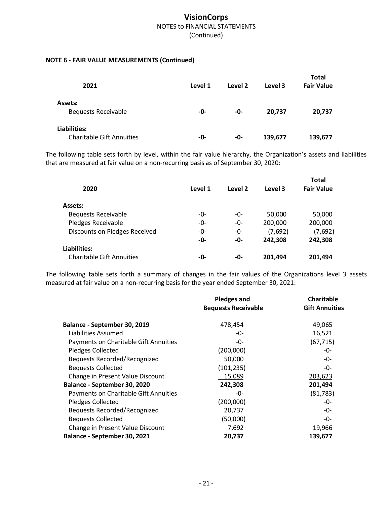## **NOTE 6 ‐ FAIR VALUE MEASUREMENTS (Continued)**

| 2021                                             | Level 1 | Level 2 | Level 3 | <b>Total</b><br><b>Fair Value</b> |
|--------------------------------------------------|---------|---------|---------|-----------------------------------|
| Assets:<br><b>Bequests Receivable</b>            | -0-     | -0-     | 20,737  | 20,737                            |
| Liabilities:<br><b>Charitable Gift Annuities</b> | -0-     | -0-     | 139,677 | 139,677                           |

The following table sets forth by level, within the fair value hierarchy, the Organization's assets and liabilities that are measured at fair value on a non‐recurring basis as of September 30, 2020:

| 2020                             | Level 1 | Level 2 | Level 3 | <b>Total</b><br><b>Fair Value</b> |
|----------------------------------|---------|---------|---------|-----------------------------------|
|                                  |         |         |         |                                   |
| Assets:                          |         |         |         |                                   |
| <b>Bequests Receivable</b>       | -0-     | -0-     | 50,000  | 50,000                            |
| <b>Pledges Receivable</b>        | -0-     | -0-     | 200,000 | 200,000                           |
| Discounts on Pledges Received    | $-0-$   | $-0$ -  | (7,692) | (7,692)                           |
|                                  | -0-     | -0-     | 242,308 | 242,308                           |
| Liabilities:                     |         |         |         |                                   |
| <b>Charitable Gift Annuities</b> | -0-     | -0-     | 201,494 | 201,494                           |

The following table sets forth a summary of changes in the fair values of the Organizations level 3 assets measured at fair value on a non‐recurring basis for the year ended September 30, 2021:

|                                       | <b>Pledges and</b>         | Charitable            |
|---------------------------------------|----------------------------|-----------------------|
|                                       | <b>Bequests Receivable</b> | <b>Gift Annuities</b> |
| Balance - September 30, 2019          | 478,454                    | 49,065                |
| Liabilities Assumed                   | -0-                        | 16,521                |
| Payments on Charitable Gift Annuities | -0-                        | (67, 715)             |
| Pledges Collected                     | (200,000)                  | -0-                   |
| Bequests Recorded/Recognized          | 50,000                     | -0-                   |
| <b>Bequests Collected</b>             | (101, 235)                 | -0-                   |
| Change in Present Value Discount      | 15,089                     | 203,623               |
| Balance - September 30, 2020          | 242,308                    | 201,494               |
| Payments on Charitable Gift Annuities | -0-                        | (81, 783)             |
| <b>Pledges Collected</b>              | (200,000)                  | -0-                   |
| Bequests Recorded/Recognized          | 20,737                     | -0-                   |
| <b>Bequests Collected</b>             | (50,000)                   | -0-                   |
| Change in Present Value Discount      | 7,692                      | 19,966                |
| Balance - September 30, 2021          | 20,737                     | 139,677               |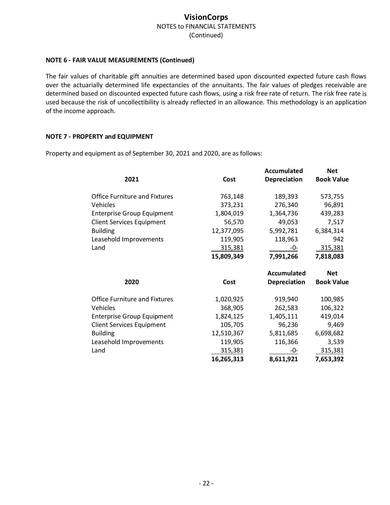#### **NOTE 6 ‐ FAIR VALUE MEASUREMENTS (Continued)**

The fair values of charitable gift annuities are determined based upon discounted expected future cash flows over the actuarially determined life expectancies of the annuitants. The fair values of pledges receivable are determined based on discounted expected future cash flows, using a risk free rate of return. The risk free rate is used because the risk of uncollectibility is already reflected in an allowance. This methodology is an application of the income approach.

#### **NOTE 7 ‐ PROPERTY and EQUIPMENT**

Property and equipment as of September 30, 2021 and 2020, are as follows:

|            | <b>Accumulated</b>  | <b>Net</b>        |
|------------|---------------------|-------------------|
| Cost       | <b>Depreciation</b> | <b>Book Value</b> |
| 763,148    | 189,393             | 573,755           |
| 373,231    | 276,340             | 96,891            |
| 1,804,019  | 1,364,736           | 439,283           |
| 56,570     | 49,053              | 7,517             |
| 12,377,095 | 5,992,781           | 6,384,314         |
| 119,905    | 118,963             | 942               |
| 315,381    | -0-                 | 315,381           |
| 15,809,349 | 7,991,266           | 7,818,083         |
|            | <b>Accumulated</b>  | <b>Net</b>        |
| Cost       | <b>Depreciation</b> | <b>Book Value</b> |
| 1,020,925  | 919,940             | 100,985           |
| 368,905    | 262,583             | 106,322           |
| 1,824,125  | 1,405,111           | 419,014           |
| 105,705    | 96,236              | 9,469             |
| 12,510,367 | 5,811,685           | 6,698,682         |
| 119,905    | 116,366             | 3,539             |
| 315,381    | -0-                 | 315,381           |
| 16,265,313 | 8,611,921           | 7,653,392         |
|            |                     |                   |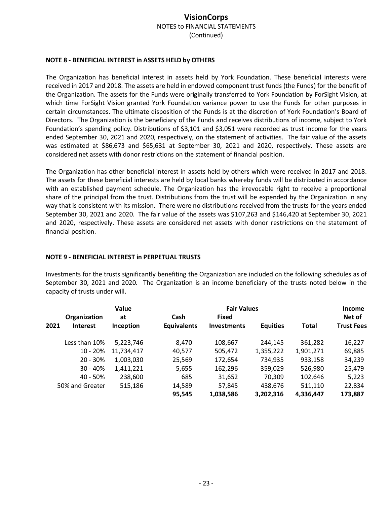#### **NOTE 8 ‐ BENEFICIAL INTEREST in ASSETS HELD by OTHERS**

The Organization has beneficial interest in assets held by York Foundation. These beneficial interests were received in 2017 and 2018. The assets are held in endowed component trust funds (the Funds) for the benefit of the Organization. The assets for the Funds were originally transferred to York Foundation by ForSight Vision, at which time ForSight Vision granted York Foundation variance power to use the Funds for other purposes in certain circumstances. The ultimate disposition of the Funds is at the discretion of York Foundation's Board of Directors. The Organization is the beneficiary of the Funds and receives distributions of income, subject to York Foundation's spending policy. Distributions of \$3,101 and \$3,051 were recorded as trust income for the years ended September 30, 2021 and 2020, respectively, on the statement of activities. The fair value of the assets was estimated at \$86,673 and \$65,631 at September 30, 2021 and 2020, respectively. These assets are considered net assets with donor restrictions on the statement of financial position.

The Organization has other beneficial interest in assets held by others which were received in 2017 and 2018. The assets for these beneficial interests are held by local banks whereby funds will be distributed in accordance with an established payment schedule. The Organization has the irrevocable right to receive a proportional share of the principal from the trust. Distributions from the trust will be expended by the Organization in any way that is consistent with its mission. There were no distributions received from the trusts for the years ended September 30, 2021 and 2020. The fair value of the assets was \$107,263 and \$146,420 at September 30, 2021 and 2020, respectively. These assets are considered net assets with donor restrictions on the statement of financial position.

#### **NOTE 9 ‐ BENEFICIAL INTEREST in PERPETUAL TRUSTS**

Investments for the trusts significantly benefiting the Organization are included on the following schedules as of September 30, 2021 and 2020. The Organization is an income beneficiary of the trusts noted below in the capacity of trusts under will.

|      |                                 | Value           | <b>Fair Values</b>         |                                    |                 |              | <b>Income</b>               |
|------|---------------------------------|-----------------|----------------------------|------------------------------------|-----------------|--------------|-----------------------------|
| 2021 | Organization<br><b>Interest</b> | at<br>Inception | Cash<br><b>Equivalents</b> | <b>Fixed</b><br><b>Investments</b> | <b>Equities</b> | <b>Total</b> | Net of<br><b>Trust Fees</b> |
|      | Less than 10%                   | 5,223,746       | 8,470                      | 108,667                            | 244.145         | 361.282      | 16,227                      |
|      | $10 - 20%$                      | 11,734,417      | 40,577                     | 505,472                            | 1,355,222       | 1,901,271    | 69,885                      |
|      | $20 - 30%$                      | 1,003,030       | 25,569                     | 172,654                            | 734,935         | 933,158      | 34,239                      |
|      | $30 - 40%$                      | 1,411,221       | 5,655                      | 162,296                            | 359,029         | 526,980      | 25,479                      |
|      | 40 - 50%                        | 238,600         | 685                        | 31,652                             | 70,309          | 102,646      | 5,223                       |
|      | 50% and Greater                 | 515,186         | 14,589                     | 57,845                             | 438,676         | 511,110      | 22,834                      |
|      |                                 |                 | 95,545                     | 1,038,586                          | 3,202,316       | 4,336,447    | 173,887                     |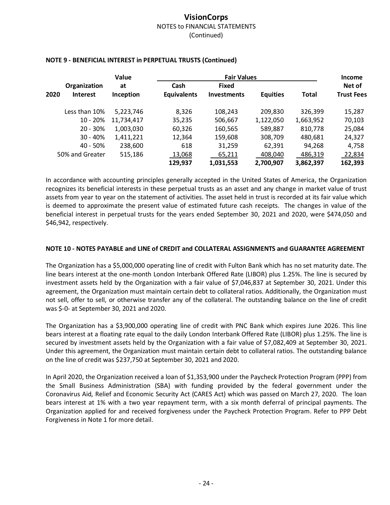|                                         | Value                  | <b>Fair Values</b>         |                                    |                 | <b>Income</b> |                             |
|-----------------------------------------|------------------------|----------------------------|------------------------------------|-----------------|---------------|-----------------------------|
| Organization<br>2020<br><b>Interest</b> | at<br><b>Inception</b> | Cash<br><b>Equivalents</b> | <b>Fixed</b><br><b>Investments</b> | <b>Equities</b> | Total         | Net of<br><b>Trust Fees</b> |
| Less than 10%                           | 5,223,746              | 8,326                      | 108,243                            | 209,830         | 326,399       | 15,287                      |
| $10 - 20%$                              | 11,734,417             | 35,235                     | 506,667                            | 1,122,050       | 1,663,952     | 70,103                      |
| $20 - 30%$                              | 1,003,030              | 60,326                     | 160,565                            | 589,887         | 810,778       | 25,084                      |
| $30 - 40%$                              | 1,411,221              | 12,364                     | 159,608                            | 308,709         | 480,681       | 24,327                      |
| 40 - 50%                                | 238,600                | 618                        | 31,259                             | 62,391          | 94,268        | 4,758                       |
| 50% and Greater                         | 515,186                | 13,068                     | 65,211                             | 408,040         | 486,319       | 22,834                      |
|                                         |                        | 129,937                    | 1,031,553                          | 2,700,907       | 3,862,397     | 162,393                     |

#### **NOTE 9 ‐ BENEFICIAL INTEREST in PERPETUAL TRUSTS (Continued)**

In accordance with accounting principles generally accepted in the United States of America, the Organization recognizes its beneficial interests in these perpetual trusts as an asset and any change in market value of trust assets from year to year on the statement of activities. The asset held in trust is recorded at its fair value which is deemed to approximate the present value of estimated future cash receipts. The changes in value of the beneficial interest in perpetual trusts for the years ended September 30, 2021 and 2020, were \$474,050 and \$46,942, respectively.

#### **NOTE 10 ‐ NOTES PAYABLE and LINE of CREDIT and COLLATERAL ASSIGNMENTS and GUARANTEE AGREEMENT**

The Organization has a \$5,000,000 operating line of credit with Fulton Bank which has no set maturity date. The line bears interest at the one‐month London Interbank Offered Rate (LIBOR) plus 1.25%. The line is secured by investment assets held by the Organization with a fair value of \$7,046,837 at September 30, 2021. Under this agreement, the Organization must maintain certain debt to collateral ratios. Additionally, the Organization must not sell, offer to sell, or otherwise transfer any of the collateral. The outstanding balance on the line of credit was \$‐0‐ at September 30, 2021 and 2020.

The Organization has a \$3,900,000 operating line of credit with PNC Bank which expires June 2026. This line bears interest at a floating rate equal to the daily London Interbank Offered Rate (LIBOR) plus 1.25%. The line is secured by investment assets held by the Organization with a fair value of \$7,082,409 at September 30, 2021. Under this agreement, the Organization must maintain certain debt to collateral ratios. The outstanding balance on the line of credit was \$237,750 at September 30, 2021 and 2020.

In April 2020, the Organization received a loan of \$1,353,900 under the Paycheck Protection Program (PPP) from the Small Business Administration (SBA) with funding provided by the federal government under the Coronavirus Aid, Relief and Economic Security Act (CARES Act) which was passed on March 27, 2020. The loan bears interest at 1% with a two year repayment term, with a six month deferral of principal payments. The Organization applied for and received forgiveness under the Paycheck Protection Program. Refer to PPP Debt Forgiveness in Note 1 for more detail.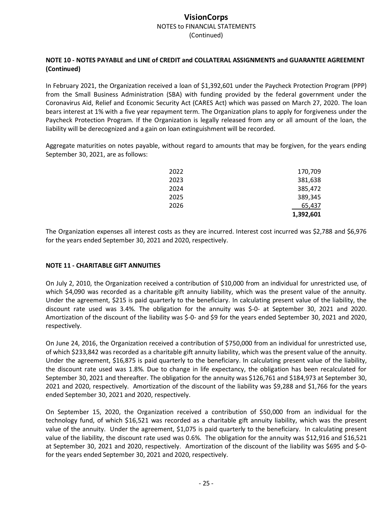### **NOTE 10 ‐ NOTES PAYABLE and LINE of CREDIT and COLLATERAL ASSIGNMENTS and GUARANTEE AGREEMENT (Continued)**

In February 2021, the Organization received a loan of \$1,392,601 under the Paycheck Protection Program (PPP) from the Small Business Administration (SBA) with funding provided by the federal government under the Coronavirus Aid, Relief and Economic Security Act (CARES Act) which was passed on March 27, 2020. The loan bears interest at 1% with a five year repayment term. The Organization plans to apply for forgiveness under the Paycheck Protection Program. If the Organization is legally released from any or all amount of the loan, the liability will be derecognized and a gain on loan extinguishment will be recorded.

Aggregate maturities on notes payable, without regard to amounts that may be forgiven, for the years ending September 30, 2021, are as follows:

| 2022 | 170,709   |
|------|-----------|
| 2023 | 381,638   |
| 2024 | 385,472   |
| 2025 | 389,345   |
| 2026 | 65,437    |
|      | 1,392,601 |

The Organization expenses all interest costs as they are incurred. Interest cost incurred was \$2,788 and \$6,976 for the years ended September 30, 2021 and 2020, respectively.

#### **NOTE 11 ‐ CHARITABLE GIFT ANNUITIES**

On July 2, 2010, the Organization received a contribution of \$10,000 from an individual for unrestricted use, of which \$4,090 was recorded as a charitable gift annuity liability, which was the present value of the annuity. Under the agreement, \$215 is paid quarterly to the beneficiary. In calculating present value of the liability, the discount rate used was 3.4%. The obligation for the annuity was \$‐0‐ at September 30, 2021 and 2020. Amortization of the discount of the liability was \$‐0‐ and \$9 for the years ended September 30, 2021 and 2020, respectively.

On June 24, 2016, the Organization received a contribution of \$750,000 from an individual for unrestricted use, of which \$233,842 was recorded as a charitable gift annuity liability, which was the present value of the annuity. Under the agreement, \$16,875 is paid quarterly to the beneficiary. In calculating present value of the liability, the discount rate used was 1.8%. Due to change in life expectancy, the obligation has been recalculated for September 30, 2021 and thereafter. The obligation for the annuity was \$126,761 and \$184,973 at September 30, 2021 and 2020, respectively. Amortization of the discount of the liability was \$9,288 and \$1,766 for the years ended September 30, 2021 and 2020, respectively.

On September 15, 2020, the Organization received a contribution of \$50,000 from an individual for the technology fund, of which \$16,521 was recorded as a charitable gift annuity liability, which was the present value of the annuity. Under the agreement, \$1,075 is paid quarterly to the beneficiary. In calculating present value of the liability, the discount rate used was 0.6%. The obligation for the annuity was \$12,916 and \$16,521 at September 30, 2021 and 2020, respectively. Amortization of the discount of the liability was \$695 and \$‐0‐ for the years ended September 30, 2021 and 2020, respectively.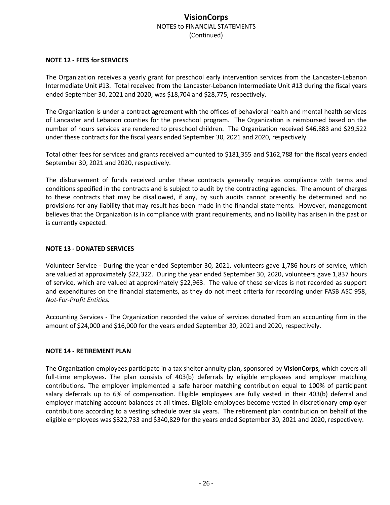#### **NOTE 12 ‐ FEES for SERVICES**

The Organization receives a yearly grant for preschool early intervention services from the Lancaster‐Lebanon Intermediate Unit #13. Total received from the Lancaster‐Lebanon Intermediate Unit #13 during the fiscal years ended September 30, 2021 and 2020, was \$18,704 and \$28,775, respectively.

The Organization is under a contract agreement with the offices of behavioral health and mental health services of Lancaster and Lebanon counties for the preschool program. The Organization is reimbursed based on the number of hours services are rendered to preschool children. The Organization received \$46,883 and \$29,522 under these contracts for the fiscal years ended September 30, 2021 and 2020, respectively.

Total other fees for services and grants received amounted to \$181,355 and \$162,788 for the fiscal years ended September 30, 2021 and 2020, respectively.

The disbursement of funds received under these contracts generally requires compliance with terms and conditions specified in the contracts and is subject to audit by the contracting agencies. The amount of charges to these contracts that may be disallowed, if any, by such audits cannot presently be determined and no provisions for any liability that may result has been made in the financial statements. However, management believes that the Organization is in compliance with grant requirements, and no liability has arisen in the past or is currently expected.

#### **NOTE 13 ‐ DONATED SERVICES**

Volunteer Service ‐ During the year ended September 30, 2021, volunteers gave 1,786 hours of service, which are valued at approximately \$22,322. During the year ended September 30, 2020, volunteers gave 1,837 hours of service, which are valued at approximately \$22,963. The value of these services is not recorded as support and expenditures on the financial statements, as they do not meet criteria for recording under FASB ASC 958, *Not‐For‐Profit Entities.*

Accounting Services ‐ The Organization recorded the value of services donated from an accounting firm in the amount of \$24,000 and \$16,000 for the years ended September 30, 2021 and 2020, respectively.

#### **NOTE 14 ‐ RETIREMENT PLAN**

The Organization employees participate in a tax shelter annuity plan, sponsored by **VisionCorps**, which covers all full-time employees. The plan consists of 403(b) deferrals by eligible employees and employer matching contributions. The employer implemented a safe harbor matching contribution equal to 100% of participant salary deferrals up to 6% of compensation. Eligible employees are fully vested in their 403(b) deferral and employer matching account balances at all times. Eligible employees become vested in discretionary employer contributions according to a vesting schedule over six years. The retirement plan contribution on behalf of the eligible employees was \$322,733 and \$340,829 for the years ended September 30, 2021 and 2020, respectively.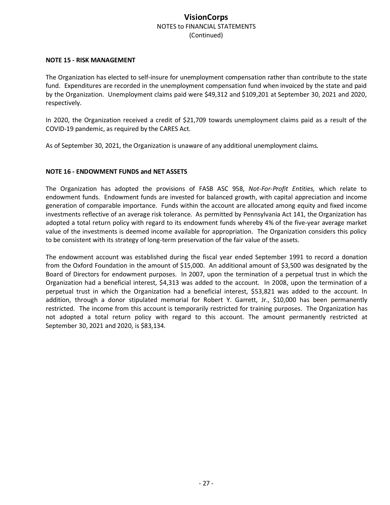#### **NOTE 15 ‐ RISK MANAGEMENT**

The Organization has elected to self‐insure for unemployment compensation rather than contribute to the state fund. Expenditures are recorded in the unemployment compensation fund when invoiced by the state and paid by the Organization. Unemployment claims paid were \$49,312 and \$109,201 at September 30, 2021 and 2020, respectively.

In 2020, the Organization received a credit of \$21,709 towards unemployment claims paid as a result of the COVID‐19 pandemic, as required by the CARES Act.

As of September 30, 2021, the Organization is unaware of any additional unemployment claims.

#### **NOTE 16 ‐ ENDOWMENT FUNDS and NET ASSETS**

The Organization has adopted the provisions of FASB ASC 958, *Not‐For‐Profit Entities,* which relate to endowment funds. Endowment funds are invested for balanced growth, with capital appreciation and income generation of comparable importance. Funds within the account are allocated among equity and fixed income investments reflective of an average risk tolerance. As permitted by Pennsylvania Act 141, the Organization has adopted a total return policy with regard to its endowment funds whereby 4% of the five‐year average market value of the investments is deemed income available for appropriation. The Organization considers this policy to be consistent with its strategy of long-term preservation of the fair value of the assets.

The endowment account was established during the fiscal year ended September 1991 to record a donation from the Oxford Foundation in the amount of \$15,000. An additional amount of \$3,500 was designated by the Board of Directors for endowment purposes. In 2007, upon the termination of a perpetual trust in which the Organization had a beneficial interest, \$4,313 was added to the account. In 2008, upon the termination of a perpetual trust in which the Organization had a beneficial interest, \$53,821 was added to the account. In addition, through a donor stipulated memorial for Robert Y. Garrett, Jr., \$10,000 has been permanently restricted. The income from this account is temporarily restricted for training purposes. The Organization has not adopted a total return policy with regard to this account. The amount permanently restricted at September 30, 2021 and 2020, is \$83,134.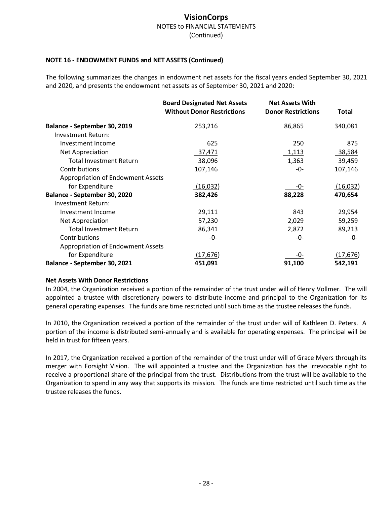#### **NOTE 16 ‐ ENDOWMENT FUNDS and NET ASSETS (Continued)**

The following summarizes the changes in endowment net assets for the fiscal years ended September 30, 2021 and 2020, and presents the endowment net assets as of September 30, 2021 and 2020:

|                                          | <b>Board Designated Net Assets</b><br><b>Without Donor Restrictions</b> | <b>Net Assets With</b><br><b>Donor Restrictions</b> | <b>Total</b> |
|------------------------------------------|-------------------------------------------------------------------------|-----------------------------------------------------|--------------|
| Balance - September 30, 2019             | 253,216                                                                 | 86,865                                              | 340,081      |
| Investment Return:                       |                                                                         |                                                     |              |
| Investment Income                        | 625                                                                     | 250                                                 | 875          |
| Net Appreciation                         | 37,471                                                                  | <u>1,113</u>                                        | 38,584       |
| <b>Total Investment Return</b>           | 38,096                                                                  | 1,363                                               | 39,459       |
| Contributions                            | 107,146                                                                 | -0-                                                 | 107,146      |
| <b>Appropriation of Endowment Assets</b> |                                                                         |                                                     |              |
| for Expenditure                          | (16,032)                                                                | -0-                                                 | (16, 032)    |
| Balance - September 30, 2020             | 382,426                                                                 | 88,228                                              | 470,654      |
| Investment Return:                       |                                                                         |                                                     |              |
| Investment Income                        | 29,111                                                                  | 843                                                 | 29,954       |
| Net Appreciation                         | 57,230                                                                  | 2,029                                               | 59,259       |
| <b>Total Investment Return</b>           | 86,341                                                                  | 2,872                                               | 89,213       |
| Contributions                            | -0-                                                                     | -0-                                                 | -0-          |
| <b>Appropriation of Endowment Assets</b> |                                                                         |                                                     |              |
| for Expenditure                          | (17, 676)                                                               | -0-                                                 | (17, 676)    |
| Balance - September 30, 2021             | 451,091                                                                 | 91,100                                              | 542,191      |

#### **Net Assets With Donor Restrictions**

In 2004, the Organization received a portion of the remainder of the trust under will of Henry Vollmer. The will appointed a trustee with discretionary powers to distribute income and principal to the Organization for its general operating expenses. The funds are time restricted until such time as the trustee releases the funds.

In 2010, the Organization received a portion of the remainder of the trust under will of Kathleen D. Peters. A portion of the income is distributed semi-annually and is available for operating expenses. The principal will be held in trust for fifteen years.

In 2017, the Organization received a portion of the remainder of the trust under will of Grace Myers through its merger with Forsight Vision. The will appointed a trustee and the Organization has the irrevocable right to receive a proportional share of the principal from the trust. Distributions from the trust will be available to the Organization to spend in any way that supports its mission. The funds are time restricted until such time as the trustee releases the funds.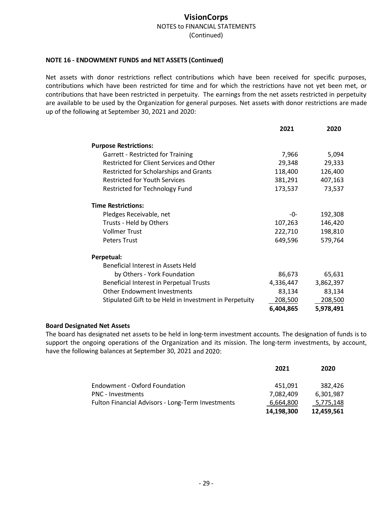#### **NOTE 16 ‐ ENDOWMENT FUNDS and NET ASSETS (Continued)**

Net assets with donor restrictions reflect contributions which have been received for specific purposes, contributions which have been restricted for time and for which the restrictions have not yet been met, or contributions that have been restricted in perpetuity. The earnings from the net assets restricted in perpetuity are available to be used by the Organization for general purposes. Net assets with donor restrictions are made up of the following at September 30, 2021 and 2020:

|                                                        | 2021      | 2020      |
|--------------------------------------------------------|-----------|-----------|
| <b>Purpose Restrictions:</b>                           |           |           |
| Garrett - Restricted for Training                      | 7,966     | 5,094     |
| Restricted for Client Services and Other               | 29,348    | 29,333    |
| Restricted for Scholarships and Grants                 | 118,400   | 126,400   |
| <b>Restricted for Youth Services</b>                   | 381,291   | 407,163   |
| <b>Restricted for Technology Fund</b>                  | 173,537   | 73,537    |
| <b>Time Restrictions:</b>                              |           |           |
| Pledges Receivable, net                                | -0-       | 192,308   |
| Trusts - Held by Others                                | 107,263   | 146,420   |
| <b>Vollmer Trust</b>                                   | 222,710   | 198,810   |
| <b>Peters Trust</b>                                    | 649,596   | 579,764   |
| Perpetual:                                             |           |           |
| Beneficial Interest in Assets Held                     |           |           |
| by Others - York Foundation                            | 86,673    | 65,631    |
| Beneficial Interest in Perpetual Trusts                | 4,336,447 | 3,862,397 |
| <b>Other Endowment Investments</b>                     | 83,134    | 83,134    |
| Stipulated Gift to be Held in Investment in Perpetuity | 208,500   | 208,500   |
|                                                        | 6,404,865 | 5,978,491 |

#### **Board Designated Net Assets**

The board has designated net assets to be held in long‐term investment accounts. The designation of funds is to support the ongoing operations of the Organization and its mission. The long-term investments, by account, have the following balances at September 30, 2021 and 2020:

|                                                   | 2021       | 2020       |
|---------------------------------------------------|------------|------------|
| <b>Endowment - Oxford Foundation</b>              | 451.091    | 382.426    |
| <b>PNC</b> - Investments                          | 7.082.409  | 6.301.987  |
| Fulton Financial Advisors - Long-Term Investments | 6,664,800  | 5,775,148  |
|                                                   | 14,198,300 | 12,459,561 |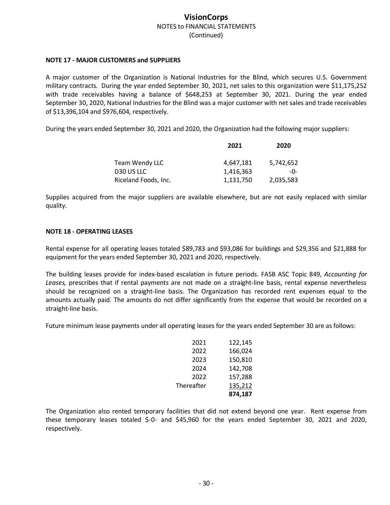#### **NOTE 17 ‐ MAJOR CUSTOMERS and SUPPLIERS**

A major customer of the Organization is National Industries for the Blind, which secures U.S. Government military contracts. During the year ended September 30, 2021, net sales to this organization were \$11,175,252 with trade receivables having a balance of \$648,253 at September 30, 2021. During the year ended September 30, 2020, National Industries for the Blind was a major customer with net sales and trade receivables of \$13,396,104 and \$976,604, respectively.

During the years ended September 30, 2021 and 2020, the Organization had the following major suppliers:

|                      | 2021      | 2020      |
|----------------------|-----------|-----------|
| Team Wendy LLC       | 4,647,181 | 5,742,652 |
| D30 US LLC           | 1,416,363 | -0-       |
| Riceland Foods, Inc. | 1,131,750 | 2,035,583 |

Supplies acquired from the major suppliers are available elsewhere, but are not easily replaced with similar quality.

#### **NOTE 18 ‐ OPERATING LEASES**

Rental expense for all operating leases totaled \$89,783 and \$93,086 for buildings and \$29,356 and \$21,888 for equipment for the years ended September 30, 2021 and 2020, respectively.

The building leases provide for index‐based escalation in future periods. FASB ASC Topic 849, *Accounting for Leases,* prescribes that if rental payments are not made on a straight‐line basis, rental expense nevertheless should be recognized on a straight‐line basis. The Organization has recorded rent expenses equal to the amounts actually paid. The amounts do not differ significantly from the expense that would be recorded on a straight‐line basis.

Future minimum lease payments under all operating leases for the years ended September 30 are asfollows:

| 2021       | 122,145 |
|------------|---------|
| 2022       | 166,024 |
| 2023       | 150,810 |
| 2024       | 142,708 |
| 2022       | 157,288 |
| Thereafter | 135,212 |
|            | 874,187 |

The Organization also rented temporary facilities that did not extend beyond one year. Rent expense from these temporary leases totaled \$‐0‐ and \$45,960 for the years ended September 30, 2021 and 2020, respectively.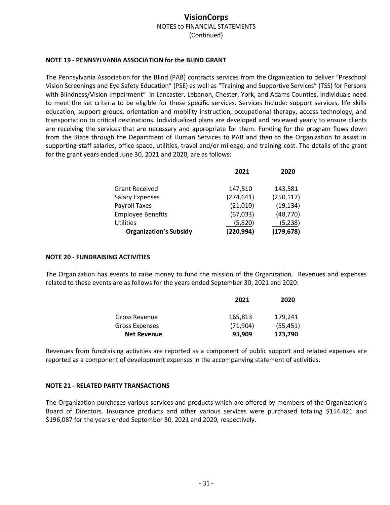#### **NOTE 19 ‐ PENNSYLVANIA ASSOCIATION for the BLIND GRANT**

The Pennsylvania Association for the Blind (PAB) contracts services from the Organization to deliver "Preschool Vision Screenings and Eye Safety Education" (PSE) as well as "Training and Supportive Services" (TSS) for Persons with Blindness/Vision Impairment" in Lancaster, Lebanon, Chester, York, and Adams Counties. Individuals need to meet the set criteria to be eligible for these specific services. Services Include: support services, life skills education, support groups, orientation and mobility instruction, occupational therapy, access technology, and transportation to critical destinations. Individualized plans are developed and reviewed yearly to ensure clients are receiving the services that are necessary and appropriate for them. Funding for the program flows down from the State through the Department of Human Services to PAB and then to the Organization to assist in supporting staff salaries, office space, utilities, travel and/or mileage, and training cost. The details of the grant for the grant years ended June 30, 2021 and 2020, are as follows:

|                               | 2021       | 2020       |
|-------------------------------|------------|------------|
| <b>Grant Received</b>         | 147,510    | 143,581    |
| <b>Salary Expenses</b>        | (274, 641) | (250, 117) |
| Payroll Taxes                 | (21,010)   | (19, 134)  |
| <b>Employee Benefits</b>      | (67, 033)  | (48, 770)  |
| <b>Utilities</b>              | (5,820)    | (5,238)    |
| <b>Organization's Subsidy</b> | (220, 994) | (179, 678) |

#### **NOTE 20 ‐ FUNDRAISING ACTIVITIES**

The Organization has events to raise money to fund the mission of the Organization. Revenues and expenses related to these events are as follows for the years ended September 30, 2021 and 2020:

|                    | 2021      | 2020      |
|--------------------|-----------|-----------|
| Gross Revenue      | 165,813   | 179.241   |
| Gross Expenses     | (71, 904) | (55, 451) |
| <b>Net Revenue</b> | 93,909    | 123,790   |

Revenues from fundraising activities are reported as a component of public support and related expenses are reported as a component of development expenses in the accompanying statement of activities.

#### **NOTE 21 ‐ RELATED PARTY TRANSACTIONS**

The Organization purchases various services and products which are offered by members of the Organization's Board of Directors. Insurance products and other various services were purchased totaling \$154,421 and \$196,087 for the years ended September 30, 2021 and 2020, respectively.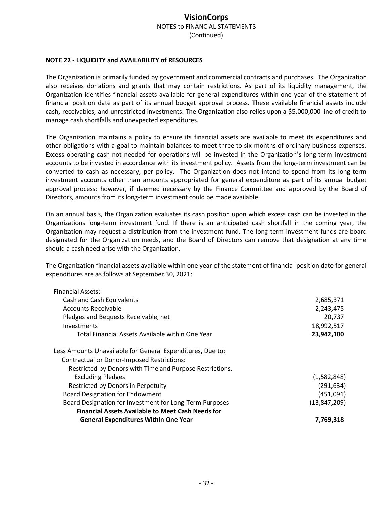#### **NOTE 22 ‐ LIQUIDITY and AVAILABILITY of RESOURCES**

The Organization is primarily funded by government and commercial contracts and purchases. The Organization also receives donations and grants that may contain restrictions. As part of its liquidity management, the Organization identifies financial assets available for general expenditures within one year of the statement of financial position date as part of its annual budget approval process. These available financial assets include cash, receivables, and unrestricted investments. The Organization also relies upon a \$5,000,000 line of credit to manage cash shortfalls and unexpected expenditures.

The Organization maintains a policy to ensure its financial assets are available to meet its expenditures and other obligations with a goal to maintain balances to meet three to six months of ordinary business expenses. Excess operating cash not needed for operations will be invested in the Organization's long-term investment accounts to be invested in accordance with its investment policy. Assets from the long-term investment can be converted to cash as necessary, per policy. The Organization does not intend to spend from its long-term investment accounts other than amounts appropriated for general expenditure as part of its annual budget approval process; however, if deemed necessary by the Finance Committee and approved by the Board of Directors, amounts from its long‐term investment could be made available.

On an annual basis, the Organization evaluates its cash position upon which excess cash can be invested in the Organizations long‐term investment fund. If there is an anticipated cash shortfall in the coming year, the Organization may request a distribution from the investment fund. The long‐term investment funds are board designated for the Organization needs, and the Board of Directors can remove that designation at any time should a cash need arise with the Organization.

The Organization financial assets available within one year of the statement of financial position date for general expenditures are as follows at September 30, 2021:

| <b>Financial Assets:</b>                                   |              |
|------------------------------------------------------------|--------------|
| Cash and Cash Equivalents                                  | 2,685,371    |
| Accounts Receivable                                        | 2,243,475    |
| Pledges and Bequests Receivable, net                       | 20,737       |
| Investments                                                | 18,992,517   |
| Total Financial Assets Available within One Year           | 23,942,100   |
| Less Amounts Unavailable for General Expenditures, Due to: |              |
| <b>Contractual or Donor-Imposed Restrictions:</b>          |              |
| Restricted by Donors with Time and Purpose Restrictions,   |              |
| <b>Excluding Pledges</b>                                   | (1,582,848)  |
| Restricted by Donors in Perpetuity                         | (291, 634)   |
| <b>Board Designation for Endowment</b>                     | (451,091)    |
| Board Designation for Investment for Long-Term Purposes    | (13,847,209) |
| <b>Financial Assets Available to Meet Cash Needs for</b>   |              |
| <b>General Expenditures Within One Year</b>                | 7,769,318    |